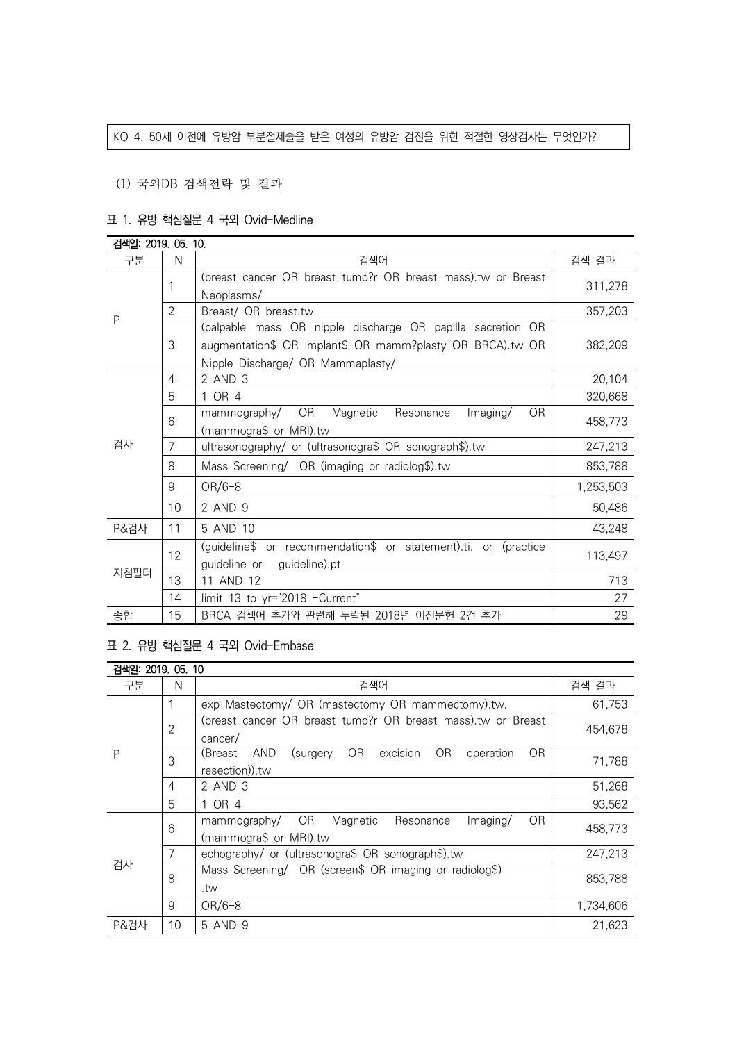### KQ 4. 50세 이전에 유방암 부분절제술을 받은 여성의 유방암 검진을 위한 적절한 영상검사는 무엇인가?

### (1) 국외DB 검색전략 및 결과

### 표 1. 유방 핵심질문 4 국외 Ovid-Medline

| 검색일: 2019. 05. 10. |                |                                                                            |           |  |
|--------------------|----------------|----------------------------------------------------------------------------|-----------|--|
| 구분                 | N              | 검색어                                                                        | 검색 결과     |  |
| P                  | 1              | (breast cancer OR breast tumo?r OR breast mass) tw or Breast<br>Neoplasms/ | 311,278   |  |
|                    | $\overline{2}$ | Breast/ OR breast.tw                                                       | 357,203   |  |
|                    |                | (palpable mass OR nipple discharge OR papilla secretion OR                 |           |  |
|                    | 3              | augmentation\$ OR implant\$ OR mamm?plasty OR BRCA).tw OR                  | 382,209   |  |
|                    |                | Nipple Discharge/ OR Mammaplasty/                                          |           |  |
|                    | 4              | 2 AND 3                                                                    | 20,104    |  |
|                    | 5              | 1 OR 4                                                                     | 320,668   |  |
|                    | 6              | mammography/ OR<br>Magnetic<br>Resonance<br>0 <sub>R</sub><br>Imaging/     | 458,773   |  |
|                    |                | (mammogra\$ or MRI).tw                                                     |           |  |
| 검사                 | $\overline{7}$ | ultrasonography/ or (ultrasonogra\$ OR sonograph\$).tw                     | 247,213   |  |
|                    | 8              | Mass Screening/ OR (imaging or radiolog\$).tw                              | 853,788   |  |
|                    | 9              | $OR/6-8$                                                                   | 1,253,503 |  |
|                    | 10             | 2 AND 9                                                                    | 50,486    |  |
| <b>P&amp;검사</b>    | 11             | 5 AND 10                                                                   | 43,248    |  |
| 지침필터               | 12             | (guideline\$ or recommendation\$ or statement).ti. or (practice            | 113,497   |  |
|                    |                | guideline or guideline).pt                                                 |           |  |
|                    | 13             | 11 AND 12                                                                  | 713       |  |
|                    | 14             | limit 13 to yr="2018 -Current"                                             | 27        |  |
| 종합                 | 15             | BRCA 검색어 추가와 관련해 누락된 2018년 이전문헌 2건 추가                                      | 29        |  |

### 표 2. 유방 핵심질문 4 국외 Ovid-Embase

| 검색일: 2019. 05. 10 |                |                                                                                 |           |  |
|-------------------|----------------|---------------------------------------------------------------------------------|-----------|--|
| 구분                | N              | 검색어                                                                             | 검색 결과     |  |
| P                 |                | exp Mastectomy/ OR (mastectomy OR mammectomy).tw.                               | 61,753    |  |
|                   | $\overline{2}$ | (breast cancer OR breast tumo?r OR breast mass).tw or Breast                    | 454.678   |  |
|                   |                | cancer/                                                                         |           |  |
|                   | 3              | excision<br>OR.<br><b>OR</b><br>AND<br>OR.<br>(Breast<br>operation<br>(surgery) | 71,788    |  |
|                   |                | resection)).tw                                                                  |           |  |
|                   | 4              | 2 AND 3                                                                         | 51,268    |  |
|                   | 5              | 1 OR 4                                                                          | 93,562    |  |
|                   | 6              | <b>OR</b><br>OR.<br>Magnetic<br>Imaging/<br>mammography/<br>Resonance           | 458,773   |  |
| 검사                |                | (mammogra\$ or MRI).tw                                                          |           |  |
|                   | 7              | echography/ or (ultrasonogra\$ OR sonograph\$).tw                               | 247,213   |  |
|                   | 8              | Mass Screening/ OR (screen\$ OR imaging or radiolog\$)                          | 853.788   |  |
|                   |                | .tw                                                                             |           |  |
|                   | 9              | $OR/6-8$                                                                        | 1,734,606 |  |
| P&검사              | 10             | 5 AND 9                                                                         | 21.623    |  |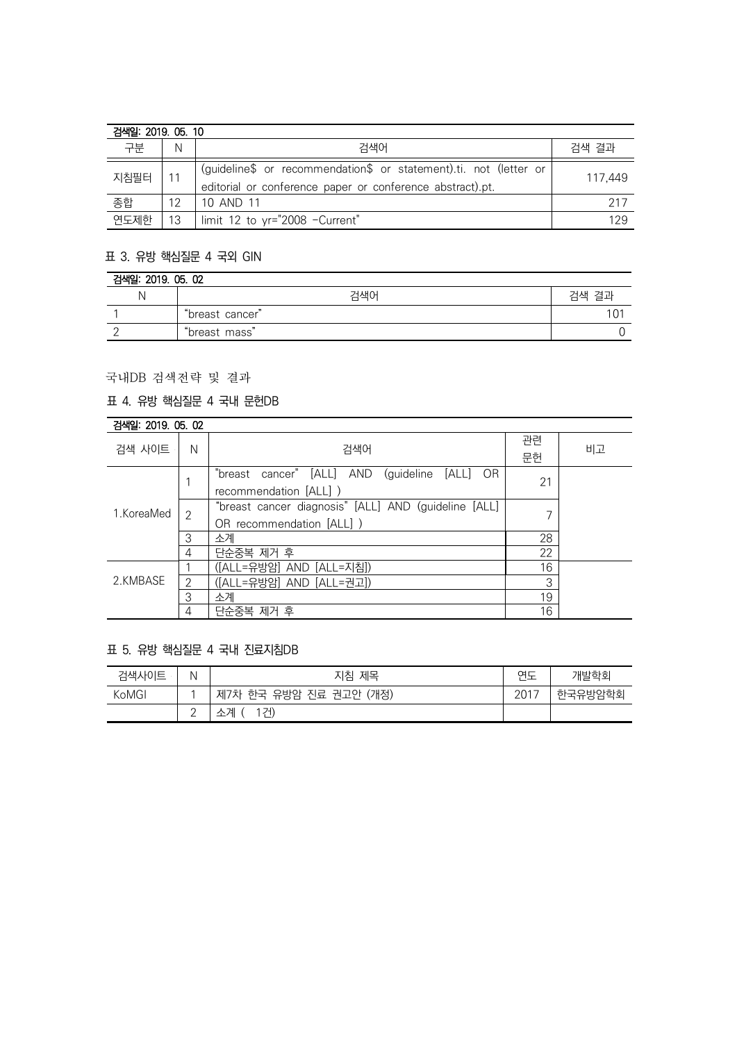| 검색일: 2019, 05, 10 |    |                                                                                                                                |         |  |
|-------------------|----|--------------------------------------------------------------------------------------------------------------------------------|---------|--|
| 구분                | Ν  | 검색어                                                                                                                            | 검색 결과   |  |
| 지침필터              |    | (guideline\$ or recommendation\$ or statement).ti. not (letter or<br>editorial or conference paper or conference abstract).pt. | 117.449 |  |
| 종합                | 12 | 10 AND 11                                                                                                                      | 217     |  |
| 연도제한              | 13 | l limit 12 to yr="2008 -Current"                                                                                               | 129     |  |

# 표 3. 유방 핵심질문 4 국외 GIN

| 검색일: 2019. 05. 02 |                 |       |  |
|-------------------|-----------------|-------|--|
|                   | 검색어             | 검색 결과 |  |
|                   | "breast cancer" |       |  |
|                   | "breast mass"   |       |  |

# 국내DB 검색전략 및 결과

### 표 4. 유방 핵심질문 4 국내 문헌DB

| 검색일: 2019, 05, 02 |   |                                                          |    |    |
|-------------------|---|----------------------------------------------------------|----|----|
| 검색 사이트            | N | 검색어                                                      | 관련 | 비고 |
|                   |   |                                                          | 문헌 |    |
| 1.KoreaMed        |   | "breast cancer" [ALL] AND<br>(guideline<br>[ALL]<br>- OR | 21 |    |
|                   |   | recommendation [ALL] )                                   |    |    |
|                   | 2 | "breast cancer diagnosis" [ALL] AND (guideline [ALL]     |    |    |
|                   |   | OR recommendation [ALL] )                                |    |    |
|                   | 3 | 소계                                                       | 28 |    |
|                   | 4 | 단순중복 제거 후                                                | 22 |    |
| 2.KMBASE          |   | ([ALL=유방암] AND [ALL=지침])                                 | 16 |    |
|                   | 2 | ([ALL=유방암] AND [ALL=권고])                                 | 3  |    |
|                   | 3 | 소계                                                       | 19 |    |
|                   | 4 | 단순중복 제거 후                                                | 16 |    |

# 표 5. 유방 핵심질문 4 국내 진료지침DB

| 검색사이트 | Ν           | 지침 제목                     | 연도   | 개발학회    |
|-------|-------------|---------------------------|------|---------|
| KoMGI |             | 한국 유방암 진료 권고안 (개정)<br>제7차 | 2017 | 한국유방암학회 |
|       | $\sim$<br>- | 1건)<br>소계                 |      |         |